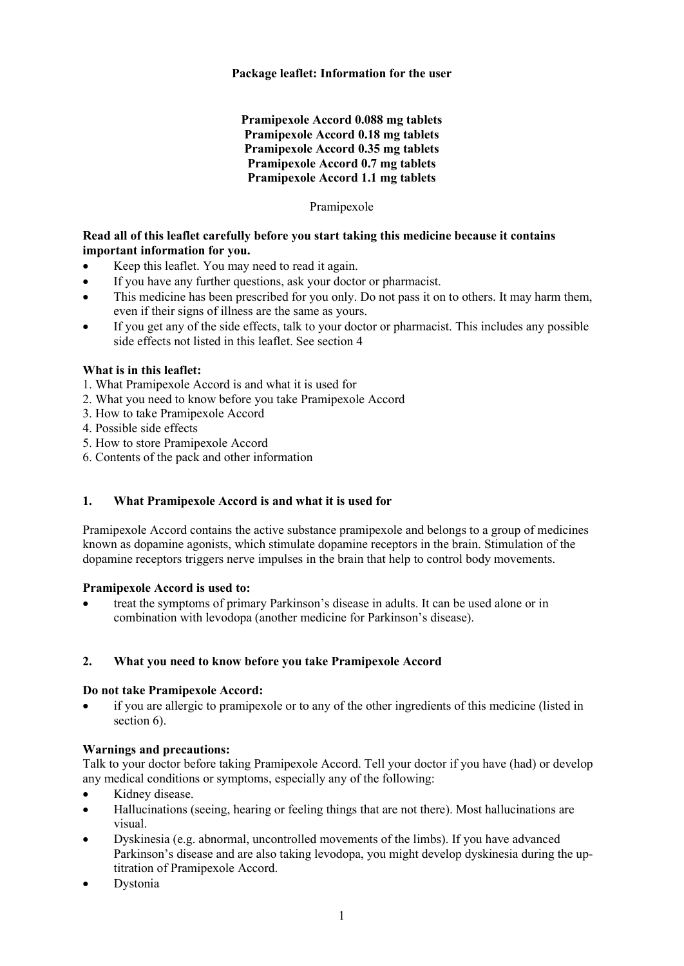### **Package leaflet: Information for the user**

### **Pramipexole Accord 0.088 mg tablets Pramipexole Accord 0.18 mg tablets Pramipexole Accord 0.35 mg tablets Pramipexole Accord 0.7 mg tablets Pramipexole Accord 1.1 mg tablets**

#### Pramipexole

### **Read all of this leaflet carefully before you start taking this medicine because it contains important information for you.**

- Keep this leaflet. You may need to read it again.
- If you have any further questions, ask your doctor or pharmacist.
- This medicine has been prescribed for you only. Do not pass it on to others. It may harm them, even if their signs of illness are the same as yours.
- If you get any of the side effects, talk to your doctor or pharmacist. This includes any possible side effects not listed in this leaflet. See section 4

## **What is in this leaflet:**

- 1. What Pramipexole Accord is and what it is used for
- 2. What you need to know before you take Pramipexole Accord
- 3. How to take Pramipexole Accord
- 4. Possible side effects
- 5. How to store Pramipexole Accord
- 6. Contents of the pack and other information

## **1. What Pramipexole Accord is and what it is used for**

Pramipexole Accord contains the active substance pramipexole and belongs to a group of medicines known as dopamine agonists, which stimulate dopamine receptors in the brain. Stimulation of the dopamine receptors triggers nerve impulses in the brain that help to control body movements.

#### **Pramipexole Accord is used to:**

• treat the symptoms of primary Parkinson's disease in adults. It can be used alone or in combination with levodopa (another medicine for Parkinson's disease).

## **2. What you need to know before you take Pramipexole Accord**

#### **Do not take Pramipexole Accord:**

if you are allergic to pramipexole or to any of the other ingredients of this medicine (listed in section 6).

## **Warnings and precautions:**

Talk to your doctor before taking Pramipexole Accord. Tell your doctor if you have (had) or develop any medical conditions or symptoms, especially any of the following:

- Kidney disease.
- Hallucinations (seeing, hearing or feeling things that are not there). Most hallucinations are visual.
- Dyskinesia (e.g. abnormal, uncontrolled movements of the limbs). If you have advanced Parkinson's disease and are also taking levodopa, you might develop dyskinesia during the uptitration of Pramipexole Accord.
- **Dystonia**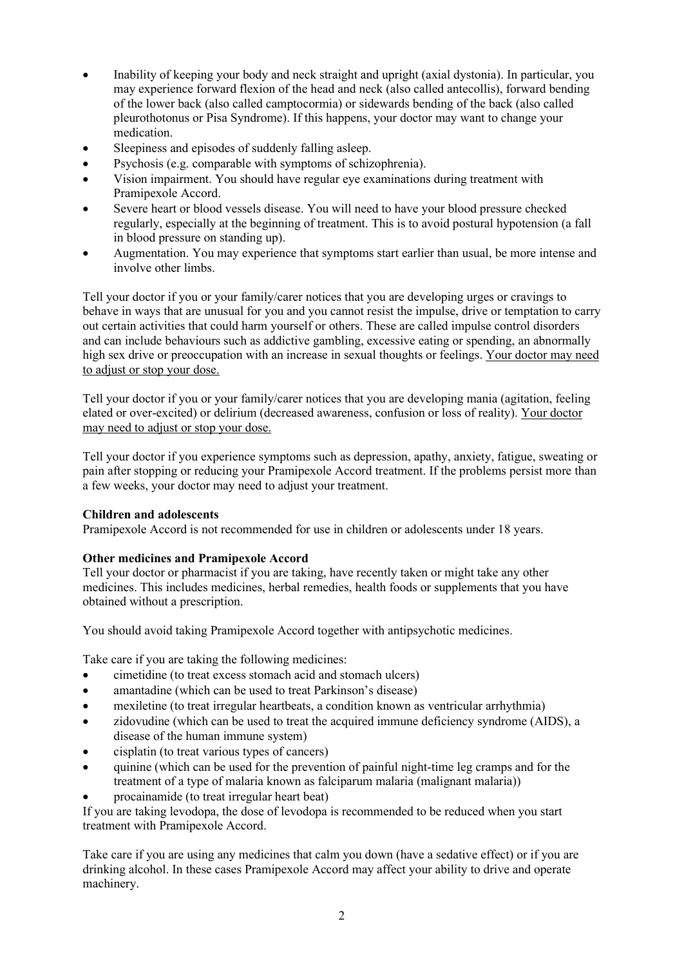- Inability of keeping your body and neck straight and upright (axial dystonia). In particular, you may experience forward flexion of the head and neck (also called antecollis), forward bending of the lower back (also called camptocormia) or sidewards bending of the back (also called pleurothotonus or Pisa Syndrome). If this happens, your doctor may want to change your medication.
- Sleepiness and episodes of suddenly falling asleep.
- Psychosis (e.g. comparable with symptoms of schizophrenia).
- Vision impairment. You should have regular eye examinations during treatment with Pramipexole Accord.
- Severe heart or blood vessels disease. You will need to have your blood pressure checked regularly, especially at the beginning of treatment. This is to avoid postural hypotension (a fall in blood pressure on standing up).
- Augmentation. You may experience that symptoms start earlier than usual, be more intense and involve other limbs.

Tell your doctor if you or your family/carer notices that you are developing urges or cravings to behave in ways that are unusual for you and you cannot resist the impulse, drive or temptation to carry out certain activities that could harm yourself or others. These are called impulse control disorders and can include behaviours such as addictive gambling, excessive eating or spending, an abnormally high sex drive or preoccupation with an increase in sexual thoughts or feelings. Your doctor may need to adjust or stop your dose.

Tell your doctor if you or your family/carer notices that you are developing mania (agitation, feeling elated or over-excited) or delirium (decreased awareness, confusion or loss of reality). Your doctor may need to adjust or stop your dose.

Tell your doctor if you experience symptoms such as depression, apathy, anxiety, fatigue, sweating or pain after stopping or reducing your Pramipexole Accord treatment. If the problems persist more than a few weeks, your doctor may need to adjust your treatment.

## **Children and adolescents**

Pramipexole Accord is not recommended for use in children or adolescents under 18 years.

## **Other medicines and Pramipexole Accord**

Tell your doctor or pharmacist if you are taking, have recently taken or might take any other medicines. This includes medicines, herbal remedies, health foods or supplements that you have obtained without a prescription.

You should avoid taking Pramipexole Accord together with antipsychotic medicines.

Take care if you are taking the following medicines:

- cimetidine (to treat excess stomach acid and stomach ulcers)
- amantadine (which can be used to treat Parkinson's disease)
- mexiletine (to treat irregular heartbeats, a condition known as ventricular arrhythmia)
- zidovudine (which can be used to treat the acquired immune deficiency syndrome (AIDS), a disease of the human immune system)
- cisplatin (to treat various types of cancers)
- quinine (which can be used for the prevention of painful night-time leg cramps and for the treatment of a type of malaria known as falciparum malaria (malignant malaria))
- procainamide (to treat irregular heart beat)

If you are taking levodopa, the dose of levodopa is recommended to be reduced when you start treatment with Pramipexole Accord.

Take care if you are using any medicines that calm you down (have a sedative effect) or if you are drinking alcohol. In these cases Pramipexole Accord may affect your ability to drive and operate machinery.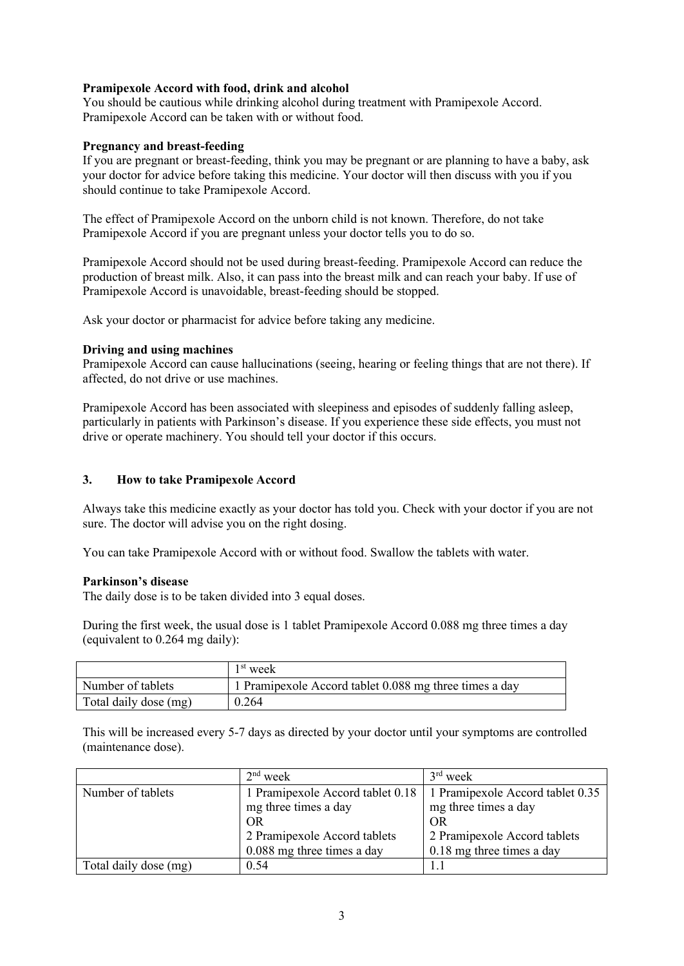#### **Pramipexole Accord with food, drink and alcohol**

You should be cautious while drinking alcohol during treatment with Pramipexole Accord. Pramipexole Accord can be taken with or without food.

#### **Pregnancy and breast-feeding**

If you are pregnant or breast-feeding, think you may be pregnant or are planning to have a baby, ask your doctor for advice before taking this medicine. Your doctor will then discuss with you if you should continue to take Pramipexole Accord.

The effect of Pramipexole Accord on the unborn child is not known. Therefore, do not take Pramipexole Accord if you are pregnant unless your doctor tells you to do so.

Pramipexole Accord should not be used during breast-feeding. Pramipexole Accord can reduce the production of breast milk. Also, it can pass into the breast milk and can reach your baby. If use of Pramipexole Accord is unavoidable, breast-feeding should be stopped.

Ask your doctor or pharmacist for advice before taking any medicine.

### **Driving and using machines**

Pramipexole Accord can cause hallucinations (seeing, hearing or feeling things that are not there). If affected, do not drive or use machines.

Pramipexole Accord has been associated with sleepiness and episodes of suddenly falling asleep, particularly in patients with Parkinson's disease. If you experience these side effects, you must not drive or operate machinery. You should tell your doctor if this occurs.

### **3. How to take Pramipexole Accord**

Always take this medicine exactly as your doctor has told you. Check with your doctor if you are not sure. The doctor will advise you on the right dosing.

You can take Pramipexole Accord with or without food. Swallow the tablets with water.

#### **Parkinson's disease**

The daily dose is to be taken divided into 3 equal doses.

During the first week, the usual dose is 1 tablet Pramipexole Accord 0.088 mg three times a day (equivalent to 0.264 mg daily):

|                       | 1 <sup>st</sup> week                                   |
|-----------------------|--------------------------------------------------------|
| Number of tablets     | 1 Pramipexole Accord tablet 0.088 mg three times a day |
| Total daily dose (mg) | 0.264                                                  |

This will be increased every 5-7 days as directed by your doctor until your symptoms are controlled (maintenance dose).

|                       | $2nd$ week                   | $3rd$ week                                                          |
|-----------------------|------------------------------|---------------------------------------------------------------------|
| Number of tablets     |                              | 1 Pramipexole Accord tablet 0.18   1 Pramipexole Accord tablet 0.35 |
|                       | mg three times a day         | mg three times a day                                                |
|                       | OR.                          | OR.                                                                 |
|                       | 2 Pramipexole Accord tablets | 2 Pramipexole Accord tablets                                        |
|                       | 0.088 mg three times a day   | 0.18 mg three times a day                                           |
| Total daily dose (mg) | 0.54                         |                                                                     |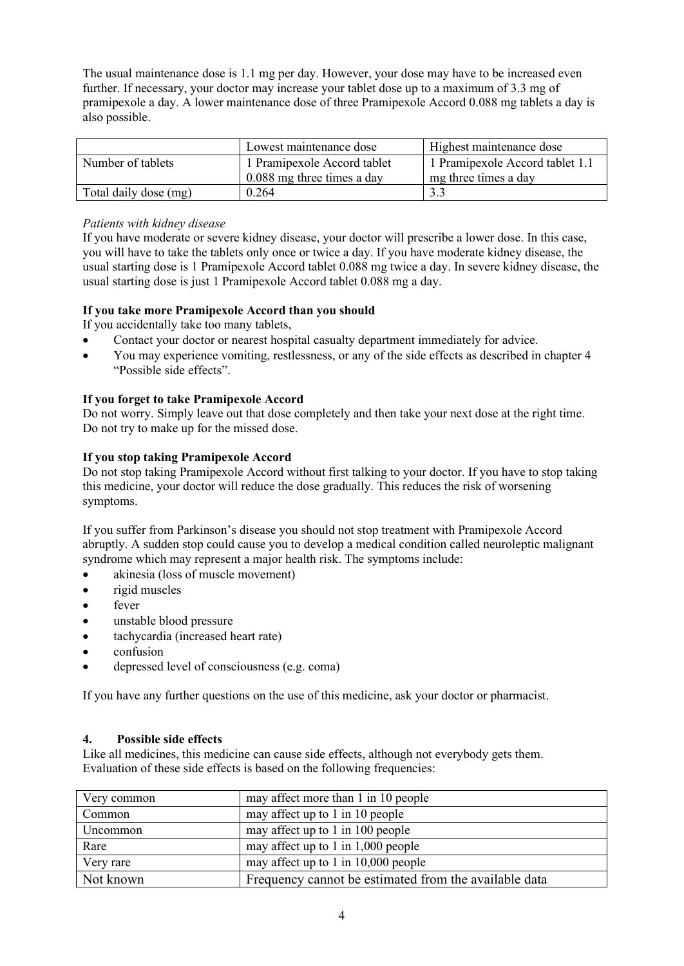The usual maintenance dose is 1.1 mg per day. However, your dose may have to be increased even further. If necessary, your doctor may increase your tablet dose up to a maximum of 3.3 mg of pramipexole a day. A lower maintenance dose of three Pramipexole Accord 0.088 mg tablets a day is also possible.

|                       | Lowest maintenance dose      | Highest maintenance dose        |
|-----------------------|------------------------------|---------------------------------|
| Number of tablets     | 1 Pramipexole Accord tablet  | 1 Pramipexole Accord tablet 1.1 |
|                       | $0.088$ mg three times a day | mg three times a day            |
| Total daily dose (mg) | 0.264                        |                                 |

## *Patients with kidney disease*

If you have moderate or severe kidney disease, your doctor will prescribe a lower dose. In this case, you will have to take the tablets only once or twice a day. If you have moderate kidney disease, the usual starting dose is 1 Pramipexole Accord tablet 0.088 mg twice a day. In severe kidney disease, the usual starting dose is just 1 Pramipexole Accord tablet 0.088 mg a day.

# **If you take more Pramipexole Accord than you should**

If you accidentally take too many tablets,

- Contact your doctor or nearest hospital casualty department immediately for advice.
- You may experience vomiting, restlessness, or any of the side effects as described in chapter 4 "Possible side effects".

# **If you forget to take Pramipexole Accord**

Do not worry. Simply leave out that dose completely and then take your next dose at the right time. Do not try to make up for the missed dose.

## **If you stop taking Pramipexole Accord**

Do not stop taking Pramipexole Accord without first talking to your doctor. If you have to stop taking this medicine, your doctor will reduce the dose gradually. This reduces the risk of worsening symptoms.

If you suffer from Parkinson's disease you should not stop treatment with Pramipexole Accord abruptly. A sudden stop could cause you to develop a medical condition called neuroleptic malignant syndrome which may represent a major health risk. The symptoms include:

- akinesia (loss of muscle movement)
- rigid muscles
- fever
- unstable blood pressure
- tachycardia (increased heart rate)
- confusion
- depressed level of consciousness (e.g. coma)

If you have any further questions on the use of this medicine, ask your doctor or pharmacist.

## **4. Possible side effects**

Like all medicines, this medicine can cause side effects, although not everybody gets them. Evaluation of these side effects is based on the following frequencies:

| Very common | may affect more than 1 in 10 people                   |
|-------------|-------------------------------------------------------|
| Common      | may affect up to 1 in 10 people                       |
| Uncommon    | may affect up to 1 in 100 people                      |
| Rare        | may affect up to 1 in $1,000$ people                  |
| Very rare   | may affect up to 1 in $10,000$ people                 |
| Not known   | Frequency cannot be estimated from the available data |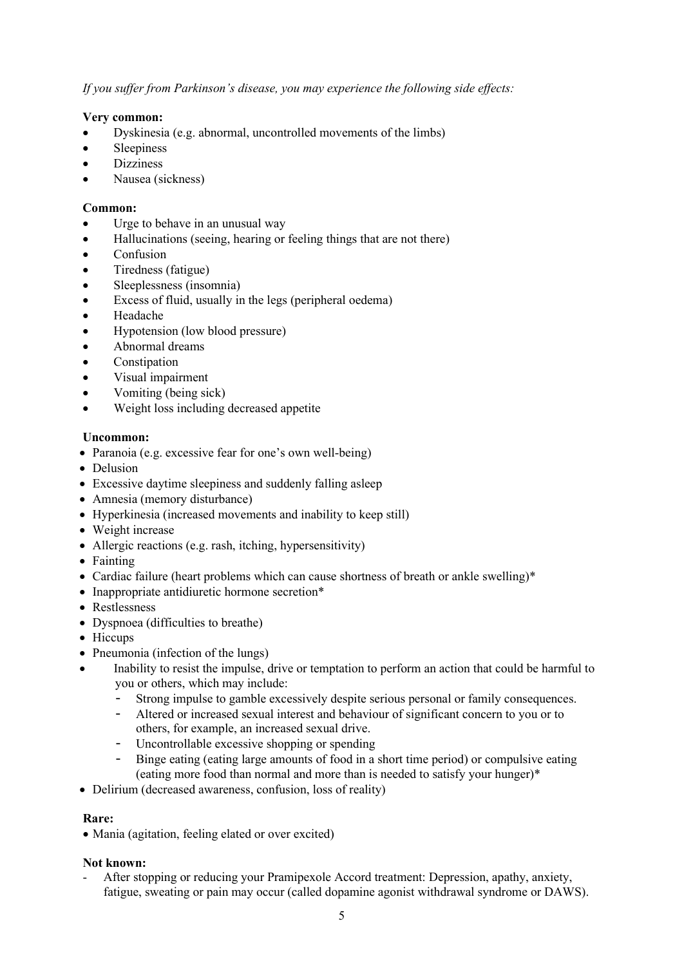*If you suffer from Parkinson's disease, you may experience the following side effects:*

### **Very common:**

- Dyskinesia (e.g. abnormal, uncontrolled movements of the limbs)
- Sleepiness
- **Dizziness**
- Nausea (sickness)

#### **Common:**

- Urge to behave in an unusual way
- Hallucinations (seeing, hearing or feeling things that are not there)
- Confusion
- Tiredness (fatigue)
- Sleeplessness (insomnia)
- Excess of fluid, usually in the legs (peripheral oedema)
- Headache
- Hypotension (low blood pressure)
- Abnormal dreams
- **Constipation**
- Visual impairment
- Vomiting (being sick)
- Weight loss including decreased appetite

### **Uncommon:**

- Paranoia (e.g. excessive fear for one's own well-being)
- Delusion
- Excessive daytime sleepiness and suddenly falling asleep
- Amnesia (memory disturbance)
- Hyperkinesia (increased movements and inability to keep still)
- Weight increase
- Allergic reactions (e.g. rash, itching, hypersensitivity)
- Fainting
- Cardiac failure (heart problems which can cause shortness of breath or ankle swelling)\*
- Inappropriate antidiuretic hormone secretion\*
- Restlessness
- Dyspnoea (difficulties to breathe)
- Hiccups
- Pneumonia (infection of the lungs)
- Inability to resist the impulse, drive or temptation to perform an action that could be harmful to you or others, which may include:
	- Strong impulse to gamble excessively despite serious personal or family consequences.
	- Altered or increased sexual interest and behaviour of significant concern to you or to others, for example, an increased sexual drive.
	- Uncontrollable excessive shopping or spending
	- Binge eating (eating large amounts of food in a short time period) or compulsive eating (eating more food than normal and more than is needed to satisfy your hunger)\*
- Delirium (decreased awareness, confusion, loss of reality)

#### **Rare:**

• Mania (agitation, feeling elated or over excited)

#### **Not known:**

After stopping or reducing your Pramipexole Accord treatment: Depression, apathy, anxiety, fatigue, sweating or pain may occur (called dopamine agonist withdrawal syndrome or DAWS).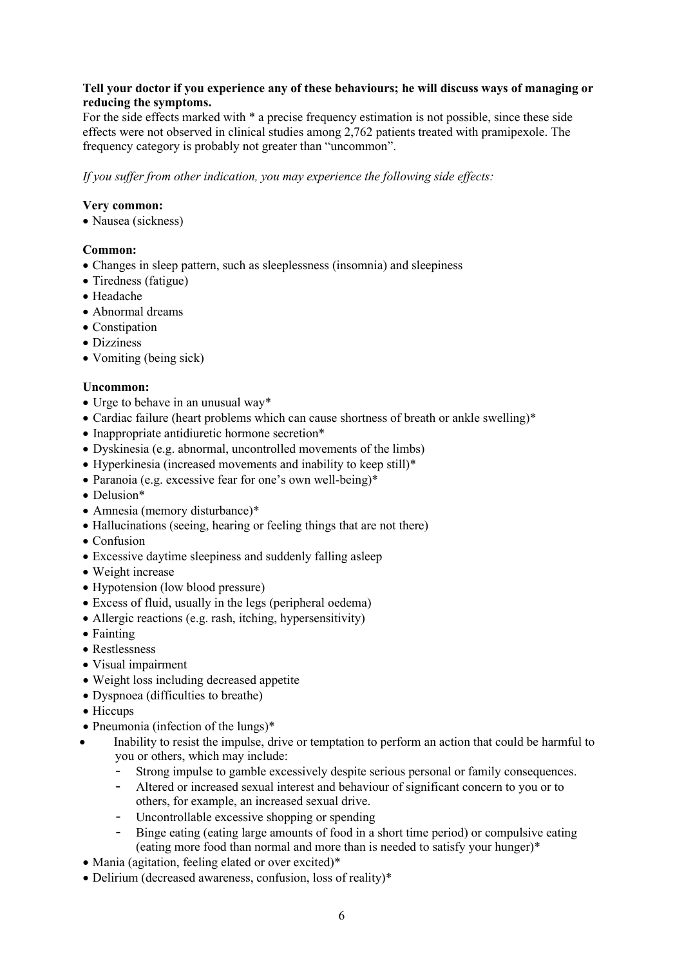### **Tell your doctor if you experience any of these behaviours; he will discuss ways of managing or reducing the symptoms.**

For the side effects marked with \* a precise frequency estimation is not possible, since these side effects were not observed in clinical studies among 2,762 patients treated with pramipexole. The frequency category is probably not greater than "uncommon".

*If you suffer from other indication, you may experience the following side effects:*

### **Very common:**

• Nausea (sickness)

## **Common:**

- Changes in sleep pattern, such as sleeplessness (insomnia) and sleepiness
- Tiredness (fatigue)
- Headache
- Abnormal dreams
- Constination
- Dizziness
- Vomiting (being sick)

#### **Uncommon:**

- Urge to behave in an unusual way\*
- Cardiac failure (heart problems which can cause shortness of breath or ankle swelling)\*
- Inappropriate antidiuretic hormone secretion\*
- Dyskinesia (e.g. abnormal, uncontrolled movements of the limbs)
- Hyperkinesia (increased movements and inability to keep still)\*
- Paranoia (e.g. excessive fear for one's own well-being)\*
- Delusion\*
- Amnesia (memory disturbance)\*
- Hallucinations (seeing, hearing or feeling things that are not there)
- Confusion
- Excessive daytime sleepiness and suddenly falling asleep
- Weight increase
- Hypotension (low blood pressure)
- Excess of fluid, usually in the legs (peripheral oedema)
- Allergic reactions (e.g. rash, itching, hypersensitivity)
- Fainting
- Restlessness
- Visual impairment
- Weight loss including decreased appetite
- Dyspnoea (difficulties to breathe)
- Hiccups
- Pneumonia (infection of the lungs)<sup>\*</sup>
- Inability to resist the impulse, drive or temptation to perform an action that could be harmful to you or others, which may include:
	- Strong impulse to gamble excessively despite serious personal or family consequences.
	- Altered or increased sexual interest and behaviour of significant concern to you or to others, for example, an increased sexual drive.
	- Uncontrollable excessive shopping or spending
	- Binge eating (eating large amounts of food in a short time period) or compulsive eating (eating more food than normal and more than is needed to satisfy your hunger)\*
- Mania (agitation, feeling elated or over excited)\*
- Delirium (decreased awareness, confusion, loss of reality)\*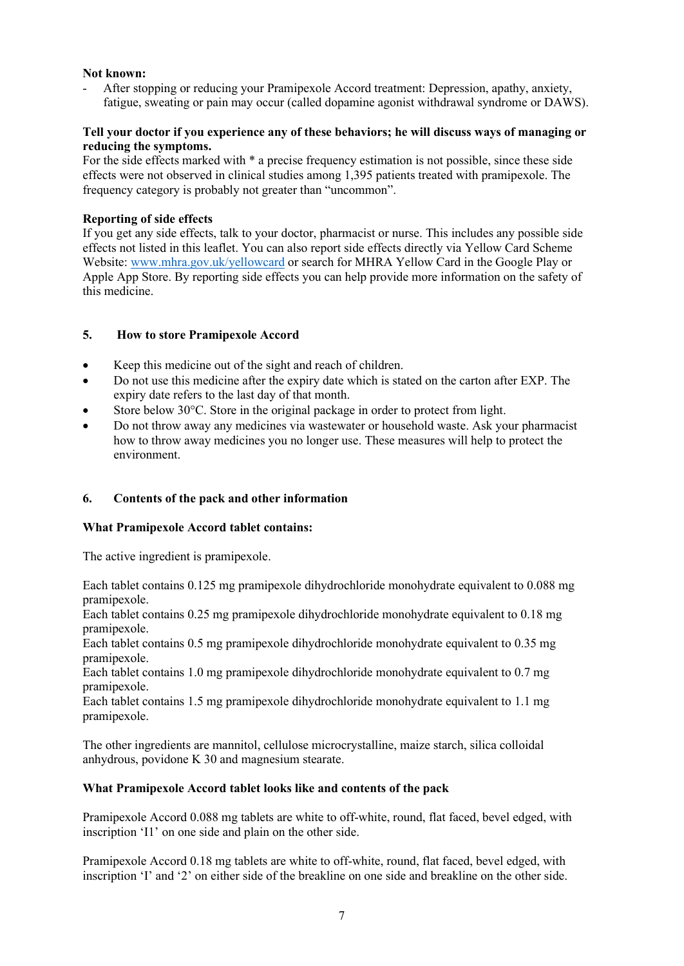### **Not known:**

- After stopping or reducing your Pramipexole Accord treatment: Depression, apathy, anxiety, fatigue, sweating or pain may occur (called dopamine agonist withdrawal syndrome or DAWS).

### **Tell your doctor if you experience any of these behaviors; he will discuss ways of managing or reducing the symptoms.**

For the side effects marked with \* a precise frequency estimation is not possible, since these side effects were not observed in clinical studies among 1,395 patients treated with pramipexole. The frequency category is probably not greater than "uncommon".

### **Reporting of side effects**

If you get any side effects, talk to your doctor, pharmacist or nurse. This includes any possible side effects not listed in this leaflet. You can also report side effects directly via Yellow Card Scheme Website: [www.mhra.gov.uk/yellowcard](http://www.mhra.gov.uk/yellowcard) or search for MHRA Yellow Card in the Google Play or Apple App Store. By reporting side effects you can help provide more information on the safety of this medicine.

# **5. How to store Pramipexole Accord**

- Keep this medicine out of the sight and reach of children.
- Do not use this medicine after the expiry date which is stated on the carton after EXP. The expiry date refers to the last day of that month.
- Store below  $30^{\circ}$ C. Store in the original package in order to protect from light.
- Do not throw away any medicines via wastewater or household waste. Ask your pharmacist how to throw away medicines you no longer use. These measures will help to protect the environment.

## **6. Contents of the pack and other information**

#### **What Pramipexole Accord tablet contains:**

The active ingredient is pramipexole.

Each tablet contains 0.125 mg pramipexole dihydrochloride monohydrate equivalent to 0.088 mg pramipexole.

Each tablet contains 0.25 mg pramipexole dihydrochloride monohydrate equivalent to 0.18 mg pramipexole.

Each tablet contains 0.5 mg pramipexole dihydrochloride monohydrate equivalent to 0.35 mg pramipexole.

Each tablet contains 1.0 mg pramipexole dihydrochloride monohydrate equivalent to 0.7 mg pramipexole.

Each tablet contains 1.5 mg pramipexole dihydrochloride monohydrate equivalent to 1.1 mg pramipexole.

The other ingredients are mannitol, cellulose microcrystalline, maize starch, silica colloidal anhydrous, povidone K 30 and magnesium stearate.

#### **What Pramipexole Accord tablet looks like and contents of the pack**

Pramipexole Accord 0.088 mg tablets are white to off-white, round, flat faced, bevel edged, with inscription 'I1' on one side and plain on the other side.

Pramipexole Accord 0.18 mg tablets are white to off-white, round, flat faced, bevel edged, with inscription 'I' and '2' on either side of the breakline on one side and breakline on the other side.